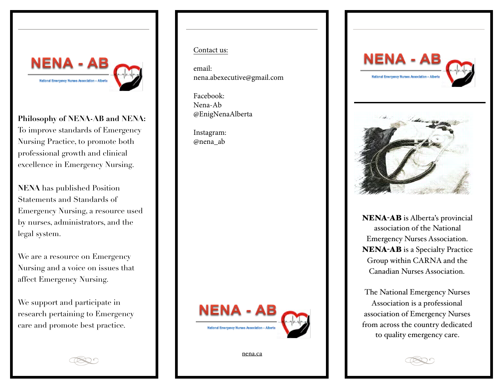

**Philosophy of NENA-AB and NENA:** To improve standards of Emergency Nursing Practice, to promote both professional growth and clinical excellence in Emergency Nursing.

**NENA** has published Position Statements and Standards of Emergency Nursing, a resource used by nurses, administrators, and the legal system.

We are a resource on Emergency Nursing and a voice on issues that affect Emergency Nursing.

We support and participate in research pertaining to Emergency care and promote best practice.

## Contact us:

email: nena.abexecutive@gmail.com

Facebook: Nena-Ab @EnigNenaAlberta

Instagram: @nena\_ab



[nena.ca](http://nena.ca)





NENA-AB is Alberta's provincial association of the National Emergency Nurses Association. NENA-AB is a Specialty Practice Group within CARNA and the Canadian Nurses Association.

The National Emergency Nurses Association is a professional association of Emergency Nurses from across the country dedicated to quality emergency care.